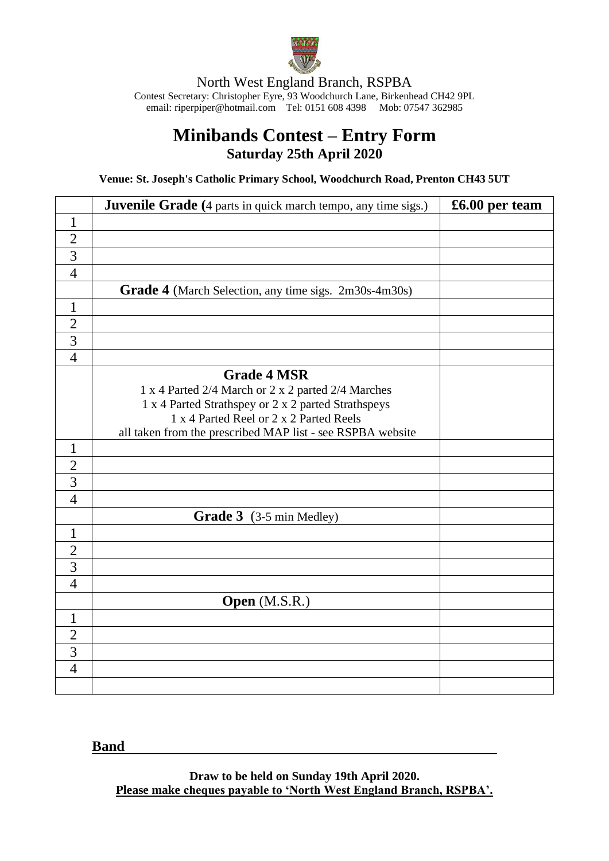

North West England Branch, RSPBA Contest Secretary: Christopher Eyre, 93 Woodchurch Lane, Birkenhead CH42 9PL email[: riperpiper@hotmail.com](mailto:riperpiper@hotmail.com) Tel: 0151 608 4398 Mob: 07547 362985

## **Minibands Contest – Entry Form Saturday 25th April 2020**

**Venue: St. Joseph's Catholic Primary School, Woodchurch Road, Prenton CH43 5UT**

|                | <b>Juvenile Grade</b> (4 parts in quick march tempo, any time sigs.) | £6.00 per team |
|----------------|----------------------------------------------------------------------|----------------|
| $\mathbf{1}$   |                                                                      |                |
| $\overline{2}$ |                                                                      |                |
| $\overline{3}$ |                                                                      |                |
| $\overline{4}$ |                                                                      |                |
|                | Grade 4 (March Selection, any time sigs. 2m30s-4m30s)                |                |
| $\mathbf{1}$   |                                                                      |                |
| $\overline{2}$ |                                                                      |                |
| $\overline{3}$ |                                                                      |                |
| $\overline{4}$ |                                                                      |                |
|                | <b>Grade 4 MSR</b>                                                   |                |
|                | 1 x 4 Parted 2/4 March or 2 x 2 parted 2/4 Marches                   |                |
|                | 1 x 4 Parted Strathspey or 2 x 2 parted Strathspeys                  |                |
|                | 1 x 4 Parted Reel or 2 x 2 Parted Reels                              |                |
|                | all taken from the prescribed MAP list - see RSPBA website           |                |
| $\mathbf{1}$   |                                                                      |                |
| $\overline{2}$ |                                                                      |                |
| $\overline{3}$ |                                                                      |                |
| $\overline{4}$ |                                                                      |                |
|                | Grade 3 (3-5 min Medley)                                             |                |
| $\mathbf{1}$   |                                                                      |                |
| $\overline{2}$ |                                                                      |                |
| $\overline{3}$ |                                                                      |                |
| $\overline{4}$ |                                                                      |                |
|                | Open (M.S.R.)                                                        |                |
| $\mathbf{1}$   |                                                                      |                |
| $\overline{2}$ |                                                                      |                |
| $\overline{3}$ |                                                                      |                |
| $\overline{4}$ |                                                                      |                |
|                |                                                                      |                |

## **Band**

**Draw to be held on Sunday 19th April 2020. Please make cheques payable to 'North West England Branch, RSPBA'.**